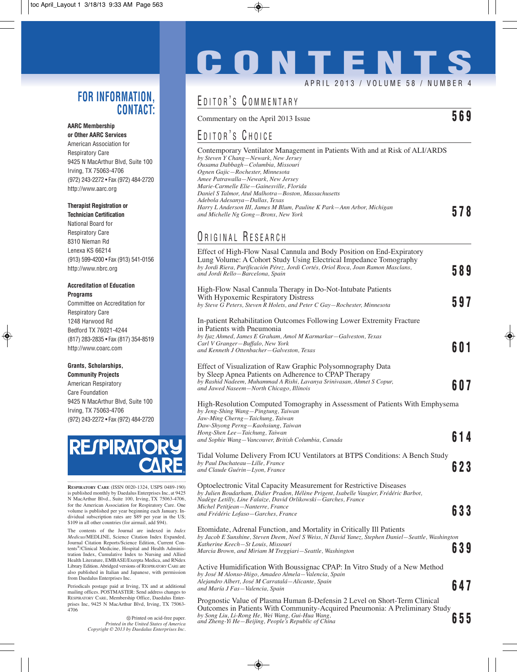### **FOR INFORMATION, CONTACT:**

#### **AARC Membership or Other AARC Services**

American Association for Respiratory Care 9425 N MacArthur Blvd, Suite 100 Irving, TX 75063-4706 (972) 243-2272 • Fax (972) 484-2720 http://www.aarc.org

#### **Therapist Registration or**

**Technician Certification** National Board for Respiratory Care 8310 Nieman Rd Lenexa KS 66214 (913) 599-4200 • Fax (913) 541-0156 http://www.nbrc.org

#### **Accreditation of Education Programs**

Committee on Accreditation for Respiratory Care 1248 Harwood Rd Bedford TX 76021-4244 (817) 283-2835 • Fax (817) 354-8519 http://www.coarc.com

#### **Grants, Scholarships,**

**Community Projects** American Respiratory Care Foundation 9425 N MacArthur Blvd, Suite 100 Irving, TX 75063-4706 (972) 243-2272 • Fax (972) 484-2720

# **RESPIRATO**

**RESPIRATORY CARE** (ISSN 0020-1324, USPS 0489-190) is published monthly by Daedalus Enterprises Inc, at 9425 N MacArthur Blvd., Suite 100, Irving, TX 75063-4706, for the American Association for Respiratory Care. One volume is published per year beginning each January. Individual subscription rates are \$89 per year in the US; \$109 in all other countries (for airmail, add \$94).

The contents of the Journal are indexed in *Index Medicus*/MEDLINE, Science Citation Index Expanded, Journal Citation Reports/Science Edition, Current Contents®/Clinical Medicine, Hospital and Health Administration Index, Cumulative Index to Nursing and Allied Health Literature, EMBASE/Exerpta Medica, and RNdex Library Edition. Abridged versions of RESPIRATORY CARE are also published in Italian and Japanese, with permission from Daedalus Enterprises Inc.

Periodicals postage paid at Irving, TX and at additional mailing offices. POSTMASTER: Send address changes to RESPIRATORY CARE, Membership Office, Daedalus Enterprises Inc, 9425 N MacArthur Blvd, Irving, TX 75063- 4706

> $\otimes$  Printed on acid-free paper. *Printed in the United States of America Copyright © 2013 by Daedalus Enterprises Inc.*

## **CONTENT** APRIL 2013 / VOLUME 58 / NUMBER 4

## EDITOR'S COMMENTARY

Commentary on the April 2013 Issue **569**

### EDITOR'S CHOICE

| Contemporary Ventilator Management in Patients With and at Risk of ALI/ARDS |     |
|-----------------------------------------------------------------------------|-----|
| by Steven Y Chang–Newark, New Jersey                                        |     |
| Ousama Dabbagh-Columbia, Missouri                                           |     |
| Ognen Gajic-Rochester, Minnesota                                            |     |
| Amee Patrawalla–Newark, New Jersey                                          |     |
| Marie-Carmelle Elie—Gainesville, Florida                                    |     |
| Daniel S Talmor, Atul Malhotra–Boston, Massachusetts                        |     |
| Adebola Adesanya—Dallas, Texas                                              |     |
| Harry L Anderson III, James M Blum, Pauline K Park—Ann Arbor, Michigan      | 578 |
| and Michelle Ng Gong-Bronx, New York                                        |     |
|                                                                             |     |

### ORIGINAL RESEARCH

| Effect of High-Flow Nasal Cannula and Body Position on End-Expiratory<br>Lung Volume: A Cohort Study Using Electrical Impedance Tomography<br>by Jordi Riera, Purificación Pérez, Jordi Cortés, Oriol Roca, Joan Ramon Masclans,<br>and Jordi Rello—Barcelona, Spain                                        | 589 |
|-------------------------------------------------------------------------------------------------------------------------------------------------------------------------------------------------------------------------------------------------------------------------------------------------------------|-----|
| High-Flow Nasal Cannula Therapy in Do-Not-Intubate Patients<br>With Hypoxemic Respiratory Distress<br>by Steve G Peters, Steven R Holets, and Peter C Gay-Rochester, Minnesota                                                                                                                              | 597 |
| In-patient Rehabilitation Outcomes Following Lower Extremity Fracture<br>in Patients with Pneumonia<br>by Ijaz Ahmed, James E Graham, Amol M Karmarkar–Galveston, Texas<br>Carl V Granger-Buffalo, New York<br>and Kenneth J Ottenbacher–Galveston, Texas                                                   | 601 |
| Effect of Visualization of Raw Graphic Polysomnography Data<br>by Sleep Apnea Patients on Adherence to CPAP Therapy<br>by Rashid Nadeem, Muhammad A Rishi, Lavanya Srinivasan, Ahmet S Copur,<br>and Jawed Naseem-North Chicago, Illinois                                                                   | 607 |
| High-Resolution Computed Tomography in Assessment of Patients With Emphysema<br>by Jeng-Shing Wang-Pingtung, Taiwan<br>Jaw-Ming Cherng-Taichung, Taiwan<br>Daw-Shyong Perng-Kaohsiung, Taiwan<br>Hong-Shen Lee—Taichung, Taiwan<br>and Sophie Wang–Vancouver, British Columbia, Canada                      | 614 |
| Tidal Volume Delivery From ICU Ventilators at BTPS Conditions: A Bench Study<br>by Paul Duchateau—Lille, France<br>and Claude Guérin–Lyon, France                                                                                                                                                           | 623 |
| Optoelectronic Vital Capacity Measurement for Restrictive Diseases<br>by Julien Boudarham, Didier Pradon, Hélène Prigent, Isabelle Vaugier, Frédéric Barbot,<br>Nadège Letilly, Line Falaize, David Orlikowski–Garches, France<br>Michel Petitjean–Nanterre, France<br>and Frédéric Lofaso–Garches, France  | 633 |
| Etomidate, Adrenal Function, and Mortality in Critically Ill Patients<br>by Jacob E Sunshine, Steven Deem, Noel S Weiss, N David Yanez, Stephen Daniel–Seattle, Washington<br>Katherine Keech—St Louis, Missouri<br>Marcia Brown, and Miriam M Treggiari–Seattle, Washington                                | 639 |
| Active Humidification With Boussignac CPAP: In Vitro Study of a New Method<br>by José M Alonso-Iñigo, Amadeo Almela-Valencia, Spain<br>Alejandro Albert, José M Carratalá—Alicante, Spain<br>and María J Fas–Valencia, Spain<br>Dreamertia Velue of Dleame Human & Defensive 7 Level on Short Tarm Clinical | 647 |
|                                                                                                                                                                                                                                                                                                             |     |

Prognostic Value of Plasma Human ß-Defensin 2 Level on Short-Term Clinical Outcomes in Patients With Community-Acquired Pneumonia: A Preliminary Study *by Song Liu, Li-Rong He, Wei Wang, Gui-Hua Wang, and Zheng-Yi He—Beijing, People's Republic of China* **655**